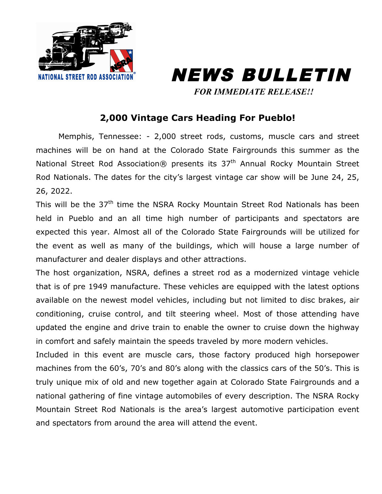



*FOR IMMEDIATE RELEASE!!*

## **2,000 Vintage Cars Heading For Pueblo!**

Memphis, Tennessee: - 2,000 street rods, customs, muscle cars and street machines will be on hand at the Colorado State Fairgrounds this summer as the National Street Rod Association® presents its 37<sup>th</sup> Annual Rocky Mountain Street Rod Nationals. The dates for the city's largest vintage car show will be June 24, 25, 26, 2022.

This will be the 37<sup>th</sup> time the NSRA Rocky Mountain Street Rod Nationals has been held in Pueblo and an all time high number of participants and spectators are expected this year. Almost all of the Colorado State Fairgrounds will be utilized for the event as well as many of the buildings, which will house a large number of manufacturer and dealer displays and other attractions.

The host organization, NSRA, defines a street rod as a modernized vintage vehicle that is of pre 1949 manufacture. These vehicles are equipped with the latest options available on the newest model vehicles, including but not limited to disc brakes, air conditioning, cruise control, and tilt steering wheel. Most of those attending have updated the engine and drive train to enable the owner to cruise down the highway in comfort and safely maintain the speeds traveled by more modern vehicles.

Included in this event are muscle cars, those factory produced high horsepower machines from the 60's, 70's and 80's along with the classics cars of the 50's. This is truly unique mix of old and new together again at Colorado State Fairgrounds and a national gathering of fine vintage automobiles of every description. The NSRA Rocky Mountain Street Rod Nationals is the area's largest automotive participation event and spectators from around the area will attend the event.